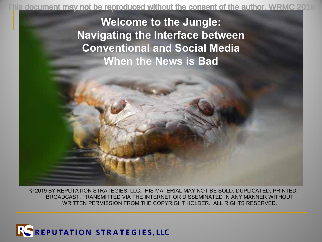his document may not be reproduced without the consent of the author. WRMC 2019

**Welcome to the Jungle: Navigating the Interface between Conventional and Social Media When the News is Bad**

© 2019 BY REPUTATION STRATEGIES, LLC.THIS MATERIAL MAY NOT BE SOLD, DUPLICATED, PRINTED, BROADCAST, TRANSMITTED VIA THE INTERNET OR DISSEMINATED IN ANY MANNER WITHOUT WRITTEN PERMISSION FROM THE COPYRIGHT HOLDER. ALL RIGHTS RESERVED.

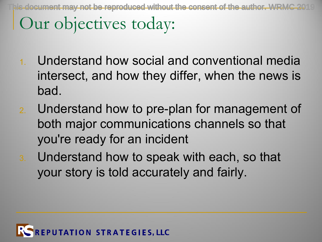Our objectives today:  $\max$  not be reproduced without the consent of the author. WE

- 1. Understand how social and conventional media intersect, and how they differ, when the news is bad.
- 2. Understand how to pre-plan for management of both major communications channels so that you're ready for an incident
- 3. Understand how to speak with each, so that your story is told accurately and fairly.

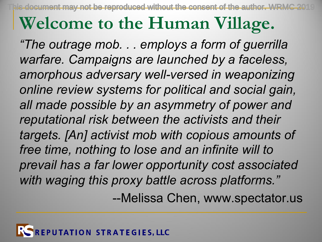This document may not be reproduced without the consent of the author. WRMC 2019

# **Welcome to the Human Village.**

*"The outrage mob. . . employs a form of guerrilla warfare. Campaigns are launched by a faceless, amorphous adversary well-versed in weaponizing online review systems for political and social gain, all made possible by an asymmetry of power and reputational risk between the activists and their targets. [An] activist mob with copious amounts of free time, nothing to lose and an infinite will to prevail has a far lower opportunity cost associated with waging this proxy battle across platforms."* --Melissa Chen, www.spectator.us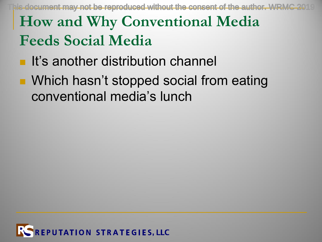$\dot{\text{u}}$ s document may not be reproduced without the consent of the author. WRMC

## **How and Why Conventional Media Feeds Social Media**

- **n** It's another distribution channel
- Which hasn't stopped social from eating conventional media's lunch

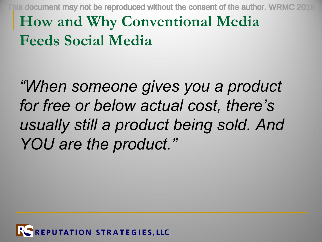$I$ s document may not be reproduced without the consent of the author. WRM $\,$ 

### **How and Why Conventional Media Feeds Social Media**

*"When someone gives you a product for free or below actual cost, there's usually still a product being sold. And YOU are the product."*

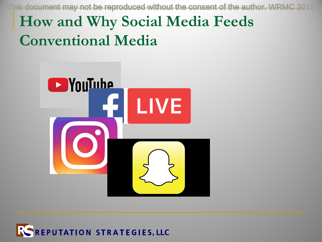his document may not be reproduced without the consent of the author. WRMC 2019

## **How and Why Social Media Feeds Conventional Media**



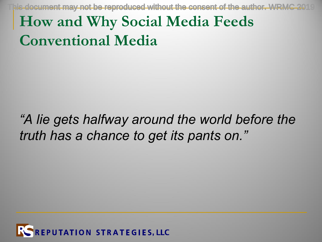his document may not be reproduced without the consent of the author. WRMC

### **How and Why Social Media Feeds Conventional Media**

#### *"A lie gets halfway around the world before the truth has a chance to get its pants on."*

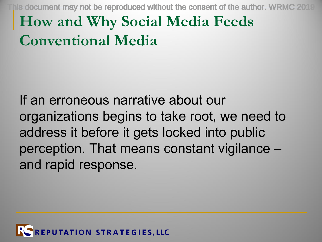$\lambda$  document may not be reproduced without the consent of the author. WRM

## **How and Why Social Media Feeds Conventional Media**

If an erroneous narrative about our organizations begins to take root, we need to address it before it gets locked into public perception. That means constant vigilance – and rapid response.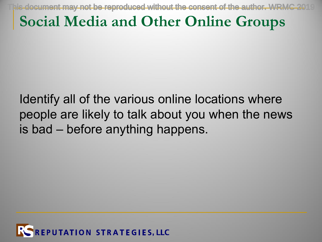$\bar{a}$  document may not be reproduced without the consent of the author. WRM

#### **Social Media and Other Online Groups**

Identify all of the various online locations where people are likely to talk about you when the news is bad – before anything happens.

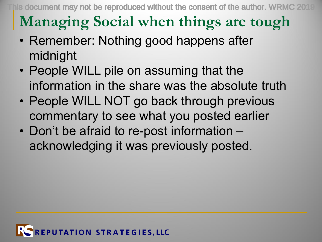is document may not be reproduced without the consent of the author. WRM $\,$ 

## **Managing Social when things are tough**

- Remember: Nothing good happens after midnight
- People WILL pile on assuming that the information in the share was the absolute truth
- People WILL NOT go back through previous commentary to see what you posted earlier
- Don't be afraid to re-post information acknowledging it was previously posted.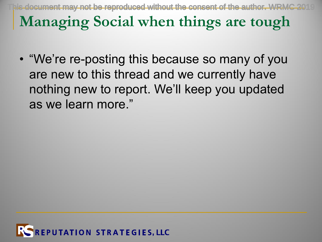**Managing Social when things are tough** is document may not be reproduced without the consent of the author. WRI  $\,$ 

• "We're re-posting this because so many of you are new to this thread and we currently have nothing new to report. We'll keep you updated as we learn more."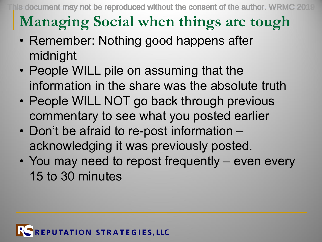document may not be reproduced without the consent of the author. WF

## **Managing Social when things are tough**

- Remember: Nothing good happens after midnight
- People WILL pile on assuming that the information in the share was the absolute truth
- People WILL NOT go back through previous commentary to see what you posted earlier
- Don't be afraid to re-post information acknowledging it was previously posted.
- You may need to repost frequently even every 15 to 30 minutes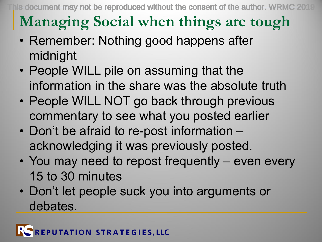## **Managing Social when things are tough**

- Remember: Nothing good happens after midnight
- People WILL pile on assuming that the information in the share was the absolute truth
- People WILL NOT go back through previous commentary to see what you posted earlier
- Don't be afraid to re-post information acknowledging it was previously posted.
- You may need to repost frequently even every 15 to 30 minutes
- Don't let people suck you into arguments or debates.

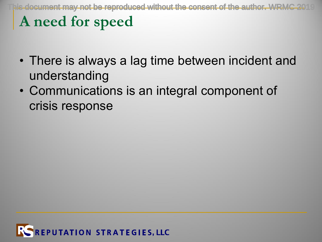**A need for speed**  $I$ s document may not be reproduced without the consent of the author. WRM

- There is always a lag time between incident and understanding
- Communications is an integral component of crisis response

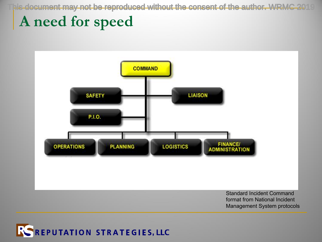his document may not be reproduced without the consent of the author. WRMC 2019

#### **A need for speed**



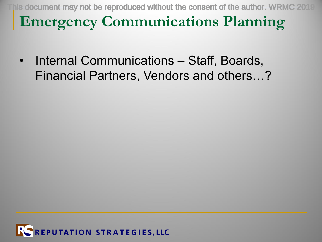is document may not be reproduced without the consent of the author. WRM

#### **Emergency Communications Planning**

• Internal Communications – Staff, Boards, Financial Partners, Vendors and others…?

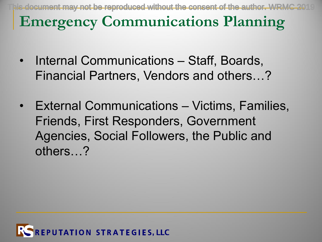**Emergency Communications Planning** document may not be reproduced without the consent of the author. W

- Internal Communications Staff, Boards, Financial Partners, Vendors and others…?
- External Communications Victims, Families, Friends, First Responders, Government Agencies, Social Followers, the Public and others…?

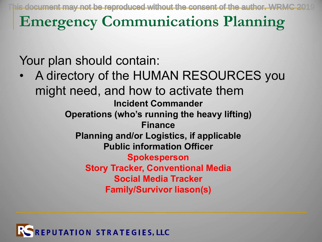document may not be reproduced without the consent of the author. WRMC

**Emergency Communications Planning**

Your plan should contain:

• A directory of the HUMAN RESOURCES you might need, and how to activate them **Incident Commander Operations (who's running the heavy lifting) Finance Planning and/or Logistics, if applicable Public information Officer Spokesperson Story Tracker, Conventional Media Social Media Tracker Family/Survivor liason(s)**

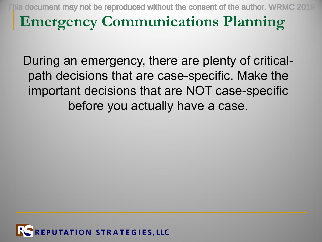document may not be reproduced without the consent of the author.

#### **Emergency Communications Planning**

During an emergency, there are plenty of criticalpath decisions that are case-specific. Make the important decisions that are NOT case-specific before you actually have a case.

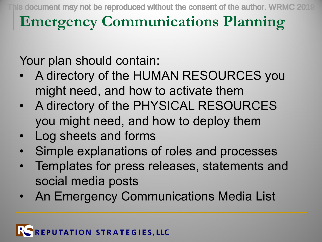cument may not be reproduced without the consent of the author.

### **Emergency Communications Planning**

Your plan should contain:

- A directory of the HUMAN RESOURCES you might need, and how to activate them
- A directory of the PHYSICAL RESOURCES you might need, and how to deploy them
- Log sheets and forms
- Simple explanations of roles and processes
- Templates for press releases, statements and social media posts
- An Emergency Communications Media List

#### **TATION STRATEGIES, LLC**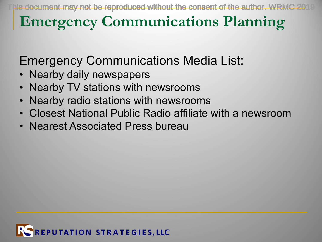### **Emergency Communications Planning**

Emergency Communications Media List:

- Nearby daily newspapers
- Nearby TV stations with newsrooms
- Nearby radio stations with newsrooms
- Closest National Public Radio affiliate with a newsroom
- Nearest Associated Press bureau

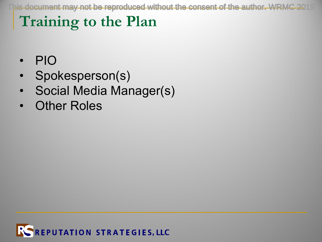his document may not be reproduced without the consent of the author. WRMC 20

#### **Training to the Plan**

- PIO
- Spokesperson(s)
- Social Media Manager(s)
- **Other Roles**

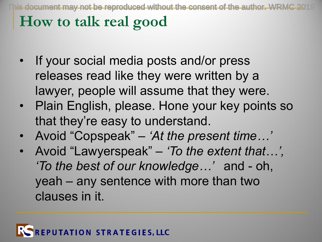$\mu$  document may not be reproduced without the consent of the author. W

#### **How to talk real good**

- If your social media posts and/or press releases read like they were written by a lawyer, people will assume that they were.
- Plain English, please. Hone your key points so that they're easy to understand.
- Avoid "Copspeak" *'At the present time…'*
- Avoid "Lawyerspeak" *'To the extent that…', 'To the best of our knowledge…'* and - oh, yeah – any sentence with more than two clauses in it.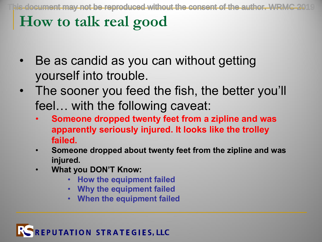#### **How to talk real good**

- Be as candid as you can without getting yourself into trouble.
- The sooner you feed the fish, the better you'll feel… with the following caveat:
	- **Someone dropped twenty feet from a zipline and was apparently seriously injured. It looks like the trolley failed.**
	- **Someone dropped about twenty feet from the zipline and was injured.**
	- **What you DON'T Know:**
		- **How the equipment failed**
		- **Why the equipment failed**
		- **When the equipment failed**

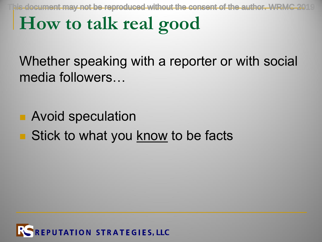is document may not be reproduced without the consent of the author. WRM $\,$ 

# **How to talk real good**

Whether speaking with a reporter or with social media followers…

- **n** Avoid speculation
- **n** Stick to what you know to be facts

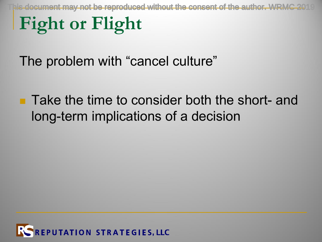$I$ s document may not be reproduced without the consent of the author. WF

# **Fight or Flight**

The problem with "cancel culture"

**n** Take the time to consider both the short- and long-term implications of a decision

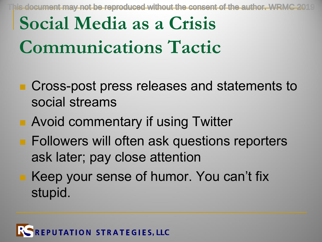document may not be reproduced without the consent of the author. WRM

# **Social Media as a Crisis Communications Tactic**

- Cross-post press releases and statements to social streams
- **n** Avoid commentary if using Twitter
- **n** Followers will often ask questions reporters ask later; pay close attention
	- Keep your sense of humor. You can't fix stupid.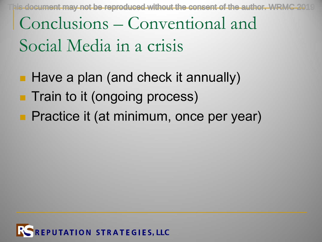$\,$  s-document may not be reproduced without the consent of the author. WRM $\,$ 

# Conclusions – Conventional and Social Media in a crisis

- **Have a plan (and check it annually) n** Train to it (ongoing process)
- **Practice it (at minimum, once per year)**